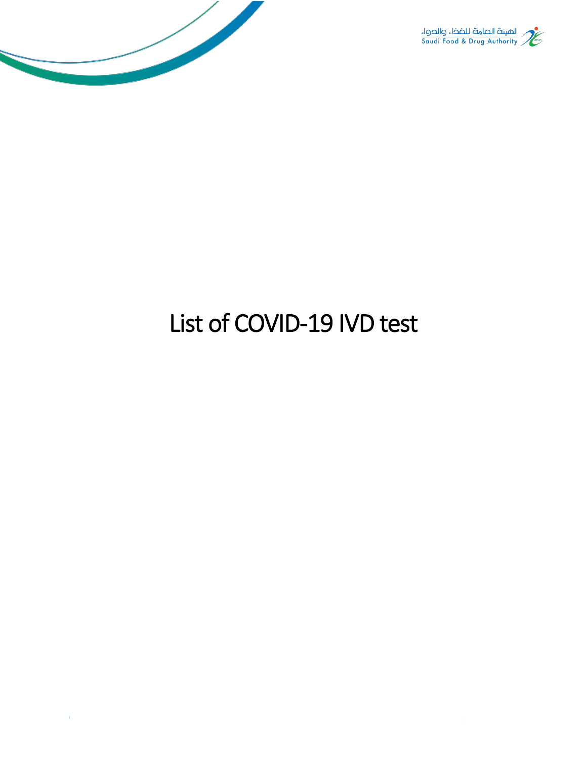



## List of COVID-19 IVD test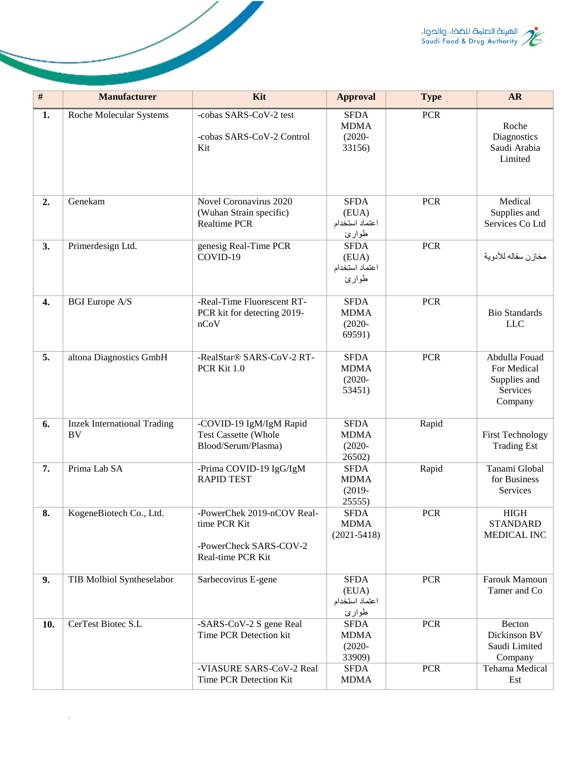

| $\overline{\#}$ | <b>Manufacturer</b>                      | Kit                                                                                       | <b>Approval</b>                                   | <b>Type</b> | <b>AR</b>                                                           |
|-----------------|------------------------------------------|-------------------------------------------------------------------------------------------|---------------------------------------------------|-------------|---------------------------------------------------------------------|
| 1.              | Roche Molecular Systems                  | -cobas SARS-CoV-2 test<br>-cobas SARS-CoV-2 Control<br>Kit                                | <b>SFDA</b><br><b>MDMA</b><br>$(2020 -$<br>33156) | <b>PCR</b>  | Roche<br>Diagnostics<br>Saudi Arabia<br>Limited                     |
| 2.              | Genekam                                  | Novel Coronavirus 2020<br>(Wuhan Strain specific)<br>Realtime PCR                         | <b>SFDA</b><br>(EUA)<br>اعتماد استخدام<br>طوارئ   | <b>PCR</b>  | Medical<br>Supplies and<br>Services Co Ltd                          |
| 3.              | Primerdesign Ltd.                        | genesig Real-Time PCR<br>COVID-19                                                         | <b>SFDA</b><br>(EUA)<br>اعتماد استخدام<br>طوارئ   | <b>PCR</b>  | مخازن سقاله للأدوية                                                 |
| 4.              | <b>BGI</b> Europe A/S                    | -Real-Time Fluorescent RT-<br>PCR kit for detecting 2019-<br>nCoV                         | <b>SFDA</b><br><b>MDMA</b><br>$(2020 -$<br>69591) | <b>PCR</b>  | <b>Bio Standards</b><br><b>LLC</b>                                  |
| 5.              | altona Diagnostics GmbH                  | -RealStar® SARS-CoV-2 RT-<br>PCR Kit 1.0                                                  | <b>SFDA</b><br><b>MDMA</b><br>$(2020 -$<br>53451) | <b>PCR</b>  | Abdulla Fouad<br>For Medical<br>Supplies and<br>Services<br>Company |
| 6.              | <b>Inzek International Trading</b><br>BV | -COVID-19 IgM/IgM Rapid<br><b>Test Cassette (Whole</b><br>Blood/Serum/Plasma)             | <b>SFDA</b><br><b>MDMA</b><br>$(2020 -$<br>26502) | Rapid       | <b>First Technology</b><br><b>Trading Est</b>                       |
| 7.              | Prima Lab SA                             | -Prima COVID-19 IgG/IgM<br><b>RAPID TEST</b>                                              | <b>SFDA</b><br><b>MDMA</b><br>$(2019 -$<br>25555) | Rapid       | Tanami Global<br>for Business<br>Services                           |
| 8.              | KogeneBiotech Co., Ltd.                  | -PowerChek 2019-nCOV Real-<br>time PCR Kit<br>-PowerCheck SARS-COV-2<br>Real-time PCR Kit | <b>SFDA</b><br><b>MDMA</b><br>$(2021 - 5418)$     | <b>PCR</b>  | <b>HIGH</b><br><b>STANDARD</b><br><b>MEDICAL INC</b>                |
| 9.              | TIB Molbiol Syntheselabor                | Sarbecovirus E-gene                                                                       | <b>SFDA</b><br>(EUA)<br>اعتماد استخدام<br>طوارئ   | <b>PCR</b>  | Farouk Mamoun<br>Tamer and Co                                       |
| 10.             | CerTest Biotec S.L                       | -SARS-CoV-2 S gene Real<br>Time PCR Detection kit                                         | <b>SFDA</b><br><b>MDMA</b><br>$(2020 -$<br>33909) | <b>PCR</b>  | Becton<br>Dickinson BV<br>Saudi Limited<br>Company                  |
|                 |                                          | -VIASURE SARS-CoV-2 Real<br>Time PCR Detection Kit                                        | <b>SFDA</b><br><b>MDMA</b>                        | <b>PCR</b>  | Tehama Medical<br>Est                                               |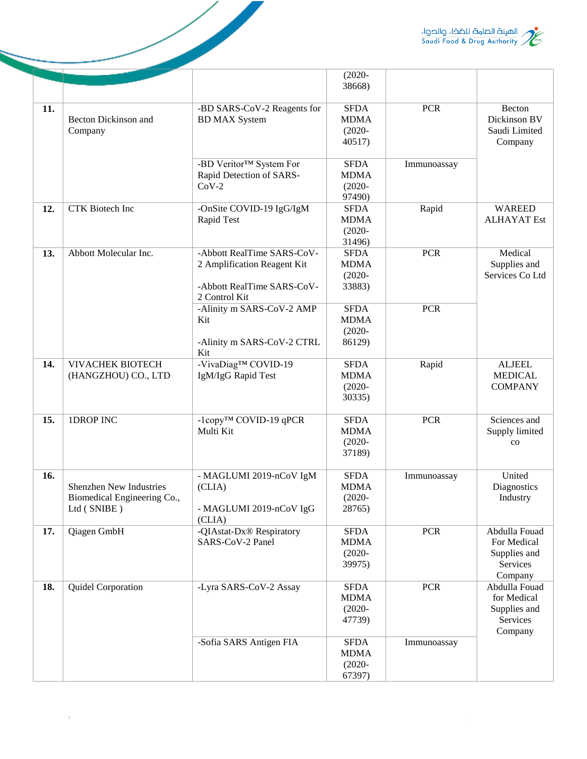

|     |                                                                       |                                                                                                          | $(2020 -$<br>38668)                               |             |                                                                     |
|-----|-----------------------------------------------------------------------|----------------------------------------------------------------------------------------------------------|---------------------------------------------------|-------------|---------------------------------------------------------------------|
| 11. | <b>Becton Dickinson and</b><br>Company                                | -BD SARS-CoV-2 Reagents for<br><b>BD MAX System</b>                                                      | <b>SFDA</b><br><b>MDMA</b><br>$(2020 -$<br>40517) | <b>PCR</b>  | Becton<br>Dickinson BV<br>Saudi Limited<br>Company                  |
|     |                                                                       | -BD Veritor™ System For<br>Rapid Detection of SARS-<br>$CoV-2$                                           | <b>SFDA</b><br><b>MDMA</b><br>$(2020 -$<br>97490) | Immunoassay |                                                                     |
| 12. | <b>CTK</b> Biotech Inc                                                | -OnSite COVID-19 IgG/IgM<br>Rapid Test                                                                   | <b>SFDA</b><br><b>MDMA</b><br>$(2020 -$<br>31496) | Rapid       | <b>WAREED</b><br><b>ALHAYAT</b> Est                                 |
| 13. | Abbott Molecular Inc.                                                 | -Abbott RealTime SARS-CoV-<br>2 Amplification Reagent Kit<br>-Abbott RealTime SARS-CoV-<br>2 Control Kit | <b>SFDA</b><br><b>MDMA</b><br>$(2020 -$<br>33883) | <b>PCR</b>  | Medical<br>Supplies and<br>Services Co Ltd                          |
|     |                                                                       | -Alinity m SARS-CoV-2 AMP<br>Kit<br>-Alinity m SARS-CoV-2 CTRL<br>Kit                                    | <b>SFDA</b><br><b>MDMA</b><br>$(2020 -$<br>86129) | <b>PCR</b>  |                                                                     |
| 14. | <b>VIVACHEK BIOTECH</b><br>(HANGZHOU) CO., LTD                        | -VivaDiag™ COVID-19<br>IgM/IgG Rapid Test                                                                | <b>SFDA</b><br><b>MDMA</b><br>$(2020 -$<br>30335) | Rapid       | <b>ALJEEL</b><br><b>MEDICAL</b><br><b>COMPANY</b>                   |
| 15. | 1DROP INC                                                             | -1copy <sup>™</sup> COVID-19 qPCR<br>Multi Kit                                                           | <b>SFDA</b><br><b>MDMA</b><br>$(2020 -$<br>37189) | <b>PCR</b>  | Sciences and<br>Supply limited<br>$_{\rm CO}$                       |
| 16. | Shenzhen New Industries<br>Biomedical Engineering Co.,<br>Ltd (SNIBE) | - MAGLUMI 2019-nCoV IgM<br>(CLIA)<br>- MAGLUMI 2019-nCoV IgG<br>(CLIA)                                   | <b>SFDA</b><br><b>MDMA</b><br>$(2020 -$<br>28765) | Immunoassay | United<br>Diagnostics<br>Industry                                   |
| 17. | Qiagen GmbH                                                           | -QIAstat-Dx® Respiratory<br>SARS-CoV-2 Panel                                                             | <b>SFDA</b><br><b>MDMA</b><br>$(2020 -$<br>39975) | <b>PCR</b>  | Abdulla Fouad<br>For Medical<br>Supplies and<br>Services<br>Company |
| 18. | Quidel Corporation                                                    | -Lyra SARS-CoV-2 Assay                                                                                   | <b>SFDA</b><br><b>MDMA</b><br>$(2020 -$<br>47739) | <b>PCR</b>  | Abdulla Fouad<br>for Medical<br>Supplies and<br>Services<br>Company |
|     |                                                                       | -Sofia SARS Antigen FIA                                                                                  | <b>SFDA</b><br><b>MDMA</b><br>$(2020 -$<br>67397) | Immunoassay |                                                                     |

 $\overline{\mathscr{S}}$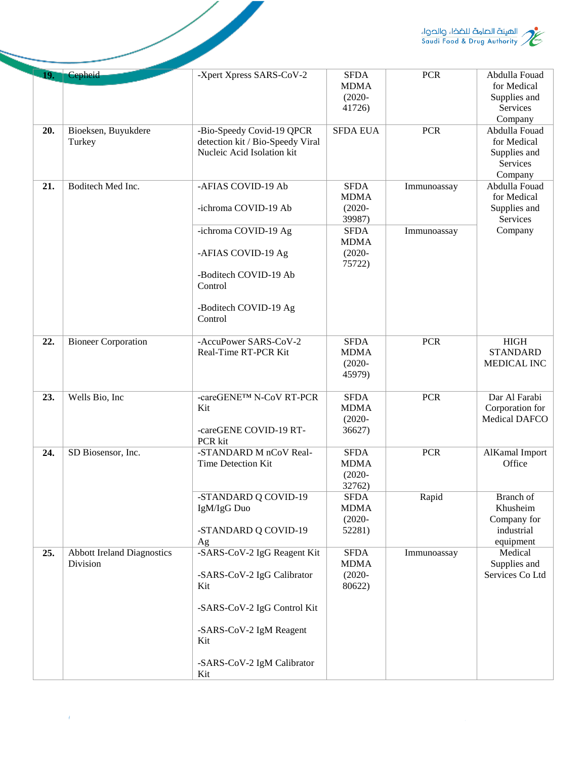

|     |                                               |                                                                                                                                                                              |                                                   |             | الهيئة الصامة للضخاء والحواء<br>Saudi Food & Drug Authority         |
|-----|-----------------------------------------------|------------------------------------------------------------------------------------------------------------------------------------------------------------------------------|---------------------------------------------------|-------------|---------------------------------------------------------------------|
| 19. | Cepheid                                       | -Xpert Xpress SARS-CoV-2                                                                                                                                                     | <b>SFDA</b><br><b>MDMA</b><br>$(2020 -$<br>41726) | <b>PCR</b>  | Abdulla Fouad<br>for Medical<br>Supplies and<br>Services<br>Company |
| 20. | Bioeksen, Buyukdere<br>Turkey                 | -Bio-Speedy Covid-19 QPCR<br>detection kit / Bio-Speedy Viral<br>Nucleic Acid Isolation kit                                                                                  | <b>SFDA EUA</b>                                   | <b>PCR</b>  | Abdulla Fouad<br>for Medical<br>Supplies and<br>Services<br>Company |
| 21. | Boditech Med Inc.                             | -AFIAS COVID-19 Ab<br>-ichroma COVID-19 Ab                                                                                                                                   | <b>SFDA</b><br><b>MDMA</b><br>$(2020 -$           | Immunoassay | Abdulla Fouad<br>for Medical<br>Supplies and<br>Services            |
|     |                                               | -ichroma COVID-19 Ag<br>-AFIAS COVID-19 Ag                                                                                                                                   | 39987)<br><b>SFDA</b><br><b>MDMA</b><br>$(2020 -$ | Immunoassay | Company                                                             |
|     |                                               | -Boditech COVID-19 Ab<br>Control                                                                                                                                             | 75722)                                            |             |                                                                     |
|     |                                               | -Boditech COVID-19 Ag<br>Control                                                                                                                                             |                                                   |             |                                                                     |
| 22. | <b>Bioneer Corporation</b>                    | -AccuPower SARS-CoV-2<br>Real-Time RT-PCR Kit                                                                                                                                | <b>SFDA</b><br><b>MDMA</b><br>$(2020 -$<br>45979) | <b>PCR</b>  | HIGH<br><b>STANDARD</b><br>MEDICAL INC                              |
| 23. | Wells Bio, Inc                                | -careGENE™ N-CoV RT-PCR<br>Kit<br>-careGENE COVID-19 RT-<br>PCR kit                                                                                                          | <b>SFDA</b><br><b>MDMA</b><br>$(2020 -$<br>36627) | <b>PCR</b>  | Dar Al Farabi<br>Corporation for<br>Medical DAFCO                   |
| 24. | SD Biosensor, Inc.                            | -STANDARD M nCoV Real-<br>Time Detection Kit                                                                                                                                 | <b>SFDA</b><br><b>MDMA</b><br>$(2020 -$<br>32762) | <b>PCR</b>  | AlKamal Import<br>Office                                            |
|     |                                               | -STANDARD Q COVID-19<br>IgM/IgG Duo<br>-STANDARD Q COVID-19                                                                                                                  | <b>SFDA</b><br><b>MDMA</b><br>$(2020 -$<br>52281) | Rapid       | Branch of<br>Khusheim<br>Company for<br>industrial                  |
| 25. | <b>Abbott Ireland Diagnostics</b><br>Division | Ag<br>-SARS-CoV-2 IgG Reagent Kit<br>-SARS-CoV-2 IgG Calibrator<br>Kit<br>-SARS-CoV-2 IgG Control Kit<br>-SARS-CoV-2 IgM Reagent<br>Kit<br>-SARS-CoV-2 IgM Calibrator<br>Kit | <b>SFDA</b><br><b>MDMA</b><br>$(2020 -$<br>80622) | Immunoassay | equipment<br>Medical<br>Supplies and<br>Services Co Ltd             |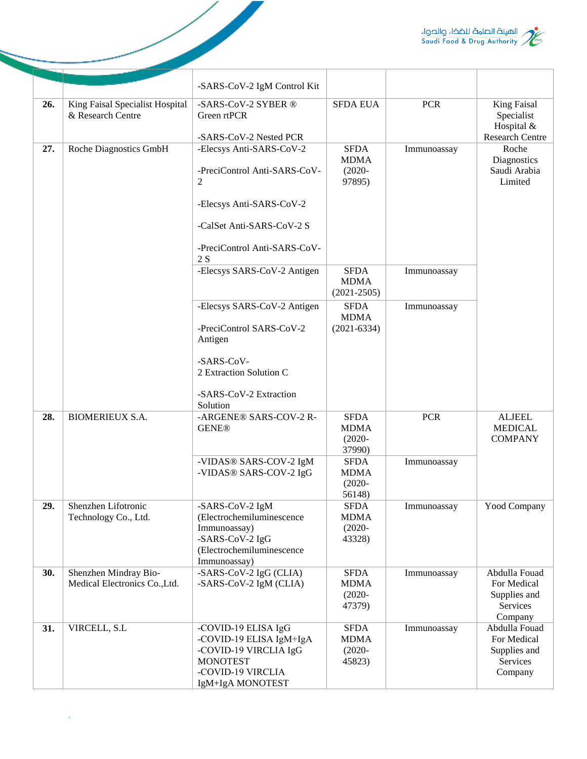

|     |                                                        | -SARS-CoV-2 IgM Control Kit                                                                                                                                  |                                                   |             |                                                                          |
|-----|--------------------------------------------------------|--------------------------------------------------------------------------------------------------------------------------------------------------------------|---------------------------------------------------|-------------|--------------------------------------------------------------------------|
| 26. | King Faisal Specialist Hospital<br>& Research Centre   | -SARS-CoV-2 SYBER ®<br>Green rtPCR<br>-SARS-CoV-2 Nested PCR                                                                                                 | <b>SFDA EUA</b>                                   | <b>PCR</b>  | <b>King Faisal</b><br>Specialist<br>Hospital &<br><b>Research Centre</b> |
| 27. | Roche Diagnostics GmbH                                 | -Elecsys Anti-SARS-CoV-2<br>-PreciControl Anti-SARS-CoV-<br>2<br>-Elecsys Anti-SARS-CoV-2<br>-CalSet Anti-SARS-CoV-2 S<br>-PreciControl Anti-SARS-CoV-<br>2S | <b>SFDA</b><br><b>MDMA</b><br>$(2020 -$<br>97895) | Immunoassay | Roche<br>Diagnostics<br>Saudi Arabia<br>Limited                          |
|     |                                                        | -Elecsys SARS-CoV-2 Antigen                                                                                                                                  | <b>SFDA</b><br><b>MDMA</b><br>$(2021 - 2505)$     | Immunoassay |                                                                          |
|     |                                                        | -Elecsys SARS-CoV-2 Antigen<br>-PreciControl SARS-CoV-2<br>Antigen<br>-SARS-CoV-<br>2 Extraction Solution C<br>-SARS-CoV-2 Extraction<br>Solution            | <b>SFDA</b><br><b>MDMA</b><br>$(2021 - 6334)$     | Immunoassay |                                                                          |
| 28. | <b>BIOMERIEUX S.A.</b>                                 | -ARGENE® SARS-COV-2 R-<br><b>GENE®</b>                                                                                                                       | <b>SFDA</b><br><b>MDMA</b><br>$(2020 -$<br>37990) | <b>PCR</b>  | <b>ALJEEL</b><br><b>MEDICAL</b><br><b>COMPANY</b>                        |
|     |                                                        | -VIDAS® SARS-COV-2 IgM<br>-VIDAS® SARS-COV-2 IgG                                                                                                             | <b>SFDA</b><br><b>MDMA</b><br>$(2020 -$<br>56148) | Immunoassay |                                                                          |
| 29. | Shenzhen Lifotronic<br>Technology Co., Ltd.            | -SARS-CoV-2 IgM<br>(Electrochemiluminescence<br>Immunoassay)<br>-SARS-CoV-2 IgG<br>(Electrochemiluminescence<br>Immunoassay)                                 | SFDA<br><b>MDMA</b><br>$(2020 -$<br>43328)        | Immunoassay | <b>Yood Company</b>                                                      |
| 30. | Shenzhen Mindray Bio-<br>Medical Electronics Co., Ltd. | -SARS-CoV-2 IgG (CLIA)<br>-SARS-CoV-2 IgM (CLIA)                                                                                                             | <b>SFDA</b><br><b>MDMA</b><br>$(2020 -$<br>47379) | Immunoassay | Abdulla Fouad<br>For Medical<br>Supplies and<br>Services<br>Company      |
| 31. | VIRCELL, S.L                                           | -COVID-19 ELISA IgG<br>-COVID-19 ELISA IgM+IgA<br>-COVID-19 VIRCLIA IgG<br><b>MONOTEST</b><br>-COVID-19 VIRCLIA<br>IgM+IgA MONOTEST                          | <b>SFDA</b><br><b>MDMA</b><br>$(2020 -$<br>45823) | Immunoassay | Abdulla Fouad<br>For Medical<br>Supplies and<br>Services<br>Company      |

 $\overline{\mathscr{S}}$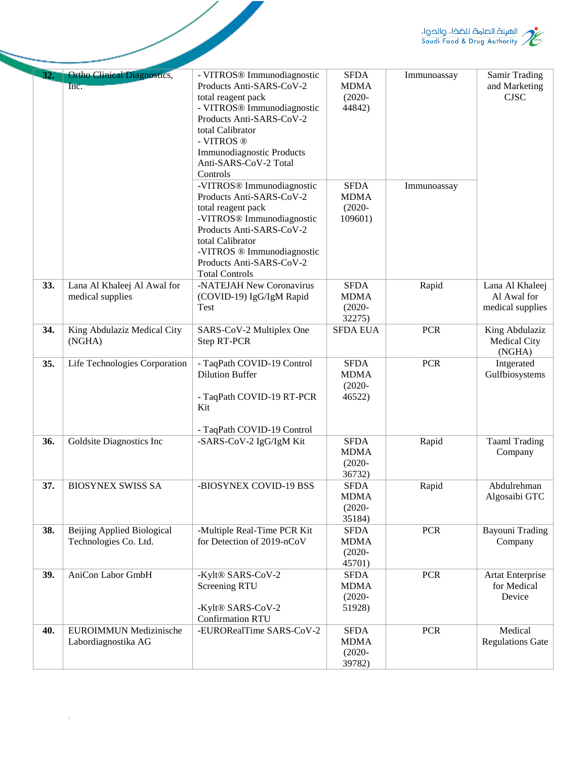

|     |                                                            |                                                                                                                                                                                                                                                                           |                                                    |             | / الهيئة الصامة للضخاء والحواء<br>// Saudi Food & Drug Authority |
|-----|------------------------------------------------------------|---------------------------------------------------------------------------------------------------------------------------------------------------------------------------------------------------------------------------------------------------------------------------|----------------------------------------------------|-------------|------------------------------------------------------------------|
| 32. | <b>Ortho Clinical Diagnostics,</b><br>Inc.                 | - VITROS <sup>®</sup> Immunodiagnostic<br>Products Anti-SARS-CoV-2<br>total reagent pack<br>- VITROS <sup>®</sup> Immunodiagnostic<br>Products Anti-SARS-CoV-2<br>total Calibrator<br>- VITROS ®<br><b>Immunodiagnostic Products</b><br>Anti-SARS-CoV-2 Total<br>Controls | <b>SFDA</b><br><b>MDMA</b><br>$(2020 -$<br>44842)  | Immunoassay | Samir Trading<br>and Marketing<br><b>CJSC</b>                    |
|     |                                                            | -VITROS <sup>®</sup> Immunodiagnostic<br>Products Anti-SARS-CoV-2<br>total reagent pack<br>-VITROS <sup>®</sup> Immunodiagnostic<br>Products Anti-SARS-CoV-2<br>total Calibrator<br>-VITROS ® Immunodiagnostic<br>Products Anti-SARS-CoV-2<br><b>Total Controls</b>       | <b>SFDA</b><br><b>MDMA</b><br>$(2020 -$<br>109601) | Immunoassay |                                                                  |
| 33. | Lana Al Khaleej Al Awal for<br>medical supplies            | -NATEJAH New Coronavirus<br>(COVID-19) IgG/IgM Rapid<br>Test                                                                                                                                                                                                              | <b>SFDA</b><br><b>MDMA</b><br>$(2020 -$<br>32275)  | Rapid       | Lana Al Khaleej<br>Al Awal for<br>medical supplies               |
| 34. | King Abdulaziz Medical City<br>(NGHA)                      | SARS-CoV-2 Multiplex One<br><b>Step RT-PCR</b>                                                                                                                                                                                                                            | <b>SFDA EUA</b>                                    | <b>PCR</b>  | King Abdulaziz<br><b>Medical City</b><br>(NGHA)                  |
| 35. | Life Technologies Corporation                              | - TaqPath COVID-19 Control<br><b>Dilution Buffer</b><br>- TaqPath COVID-19 RT-PCR<br>Kit<br>- TaqPath COVID-19 Control                                                                                                                                                    | <b>SFDA</b><br><b>MDMA</b><br>$(2020 -$<br>46522)  | <b>PCR</b>  | Intgerated<br>Gulfbiosystems                                     |
| 36. | Goldsite Diagnostics Inc                                   | -SARS-CoV-2 IgG/IgM Kit                                                                                                                                                                                                                                                   | <b>SFDA</b><br><b>MDMA</b><br>$(2020 -$<br>36732)  | Rapid       | Taaml Trading<br>Company                                         |
| 37. | <b>BIOSYNEX SWISS SA</b>                                   | -BIOSYNEX COVID-19 BSS                                                                                                                                                                                                                                                    | <b>SFDA</b><br><b>MDMA</b><br>$(2020 -$<br>35184)  | Rapid       | Abdulrehman<br>Algosaibi GTC                                     |
| 38. | <b>Beijing Applied Biological</b><br>Technologies Co. Ltd. | -Multiple Real-Time PCR Kit<br>for Detection of 2019-nCoV                                                                                                                                                                                                                 | <b>SFDA</b><br><b>MDMA</b><br>$(2020 -$<br>45701)  | <b>PCR</b>  | <b>Bayouni Trading</b><br>Company                                |
| 39. | AniCon Labor GmbH                                          | -Kylt® SARS-CoV-2<br>Screening RTU<br>-Kylt® SARS-CoV-2<br><b>Confirmation RTU</b>                                                                                                                                                                                        | <b>SFDA</b><br><b>MDMA</b><br>$(2020 -$<br>51928)  | <b>PCR</b>  | <b>Artat Enterprise</b><br>for Medical<br>Device                 |
| 40. | <b>EUROIMMUN Medizinische</b><br>Labordiagnostika AG       | -EURORealTime SARS-CoV-2                                                                                                                                                                                                                                                  | <b>SFDA</b><br><b>MDMA</b><br>$(2020 -$<br>39782)  | <b>PCR</b>  | Medical<br><b>Regulations Gate</b>                               |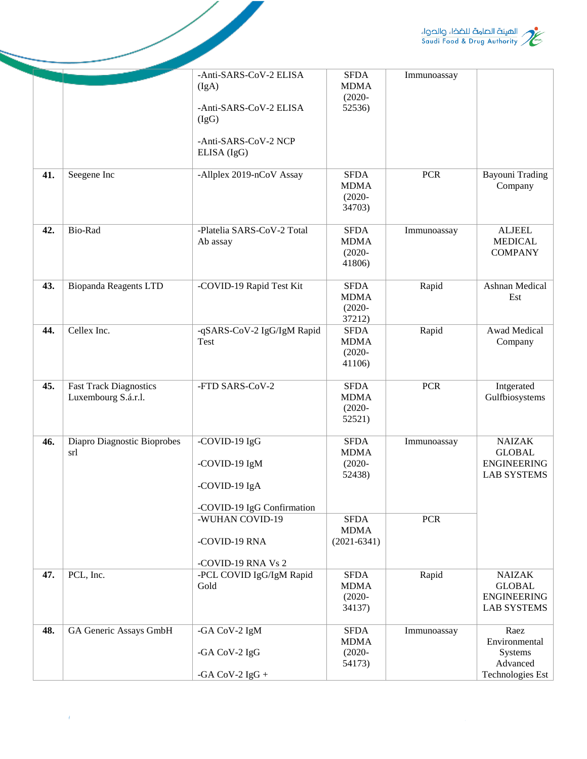

|     |                                                      |                                           |                                                   |             | / الهيئة الصامة للضخاء والحواء<br>// Saudi Food & Drug Authority           |
|-----|------------------------------------------------------|-------------------------------------------|---------------------------------------------------|-------------|----------------------------------------------------------------------------|
|     |                                                      |                                           |                                                   |             |                                                                            |
|     |                                                      | -Anti-SARS-CoV-2 ELISA                    | <b>SFDA</b>                                       | Immunoassay |                                                                            |
|     |                                                      | (IgA)                                     | <b>MDMA</b>                                       |             |                                                                            |
|     |                                                      | -Anti-SARS-CoV-2 ELISA<br>(IgG)           | $(2020 -$<br>52536)                               |             |                                                                            |
|     |                                                      | -Anti-SARS-CoV-2 NCP<br>ELISA (IgG)       |                                                   |             |                                                                            |
| 41. | Seegene Inc                                          | -Allplex 2019-nCoV Assay                  | <b>SFDA</b><br><b>MDMA</b><br>$(2020 -$<br>34703) | <b>PCR</b>  | <b>Bayouni Trading</b><br>Company                                          |
| 42. | Bio-Rad                                              | -Platelia SARS-CoV-2 Total<br>Ab assay    | <b>SFDA</b><br><b>MDMA</b><br>$(2020 -$<br>41806) | Immunoassay | <b>ALJEEL</b><br><b>MEDICAL</b><br><b>COMPANY</b>                          |
| 43. | <b>Biopanda Reagents LTD</b>                         | -COVID-19 Rapid Test Kit                  | <b>SFDA</b><br><b>MDMA</b><br>$(2020 -$<br>37212) | Rapid       | Ashnan Medical<br>Est                                                      |
| 44. | Cellex Inc.                                          | -qSARS-CoV-2 IgG/IgM Rapid<br><b>Test</b> | <b>SFDA</b><br><b>MDMA</b><br>$(2020 -$<br>41106) | Rapid       | Awad Medical<br>Company                                                    |
| 45. | <b>Fast Track Diagnostics</b><br>Luxembourg S.á.r.l. | -FTD SARS-CoV-2                           | <b>SFDA</b><br><b>MDMA</b><br>$(2020 -$<br>52521) | <b>PCR</b>  | Intgerated<br>Gulfbiosystems                                               |
| 46. | Diapro Diagnostic Bioprobes                          | -COVID-19 IgG                             | <b>SFDA</b>                                       | Immunoassay | <b>NAIZAK</b>                                                              |
|     | srl                                                  | -COVID-19 IgM                             | <b>MDMA</b><br>$(2020 -$                          |             | <b>GLOBAL</b><br><b>ENGINEERING</b>                                        |
|     |                                                      | -COVID-19 IgA                             | 52438)                                            |             | <b>LAB SYSTEMS</b>                                                         |
|     |                                                      | -COVID-19 IgG Confirmation                |                                                   |             |                                                                            |
|     |                                                      | -WUHAN COVID-19                           | <b>SFDA</b><br><b>MDMA</b>                        | <b>PCR</b>  |                                                                            |
|     |                                                      | -COVID-19 RNA                             | $(2021 - 6341)$                                   |             |                                                                            |
|     |                                                      | -COVID-19 RNA Vs 2                        |                                                   |             |                                                                            |
| 47. | PCL, Inc.                                            | -PCL COVID IgG/IgM Rapid<br>Gold          | <b>SFDA</b><br><b>MDMA</b><br>$(2020 -$<br>34137) | Rapid       | <b>NAIZAK</b><br><b>GLOBAL</b><br><b>ENGINEERING</b><br><b>LAB SYSTEMS</b> |
| 48. | GA Generic Assays GmbH                               | -GA CoV-2 IgM                             | <b>SFDA</b><br><b>MDMA</b>                        | Immunoassay | Raez<br>Environmental                                                      |
|     |                                                      | -GA CoV-2 IgG                             | $(2020 -$<br>54173)                               |             | Systems<br>Advanced                                                        |
|     |                                                      | -GA CoV-2 $IgG +$                         |                                                   |             | <b>Technologies Est</b>                                                    |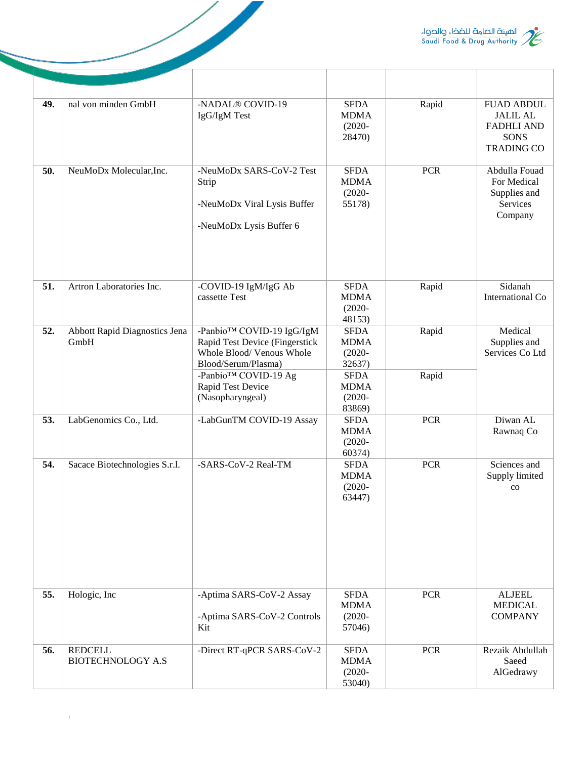

| 49. | nal von minden GmbH                        | -NADAL® COVID-19<br>IgG/IgM Test                                                                                                                     | <b>SFDA</b><br><b>MDMA</b><br>$(2020 -$<br>28470)                | Rapid          | <b>FUAD ABDUL</b><br><b>JALIL AL</b><br><b>FADHLI AND</b><br><b>SONS</b><br><b>TRADING CO</b> |
|-----|--------------------------------------------|------------------------------------------------------------------------------------------------------------------------------------------------------|------------------------------------------------------------------|----------------|-----------------------------------------------------------------------------------------------|
| 50. | NeuMoDx Molecular, Inc.                    | -NeuMoDx SARS-CoV-2 Test<br>Strip<br>-NeuMoDx Viral Lysis Buffer<br>-NeuMoDx Lysis Buffer 6                                                          | <b>SFDA</b><br><b>MDMA</b><br>$(2020 -$<br>55178)                | <b>PCR</b>     | Abdulla Fouad<br>For Medical<br>Supplies and<br>Services<br>Company                           |
| 51. | Artron Laboratories Inc.                   | -COVID-19 IgM/IgG Ab<br>cassette Test                                                                                                                | <b>SFDA</b><br><b>MDMA</b><br>$(2020 -$<br>48153)                | Rapid          | Sidanah<br>International Co                                                                   |
| 52. | Abbott Rapid Diagnostics Jena<br>GmbH      | -Panbio™ COVID-19 IgG/IgM<br>Rapid Test Device (Fingerstick<br>Whole Blood/ Venous Whole<br>Blood/Serum/Plasma)<br>-Panbio <sup>TM</sup> COVID-19 Ag | <b>SFDA</b><br><b>MDMA</b><br>$(2020 -$<br>32637)<br><b>SFDA</b> | Rapid<br>Rapid | Medical<br>Supplies and<br>Services Co Ltd                                                    |
|     |                                            | Rapid Test Device<br>(Nasopharyngeal)                                                                                                                | <b>MDMA</b><br>$(2020 -$<br>83869)                               |                |                                                                                               |
| 53. | LabGenomics Co., Ltd.                      | -LabGunTM COVID-19 Assay                                                                                                                             | <b>SFDA</b><br><b>MDMA</b><br>$(2020 -$<br>60374)                | <b>PCR</b>     | Diwan AL<br>Rawnaq Co                                                                         |
| 54. | Sacace Biotechnologies S.r.l.              | -SARS-CoV-2 Real-TM                                                                                                                                  | <b>SFDA</b><br><b>MDMA</b><br>$(2020 -$<br>63447)                | <b>PCR</b>     | Sciences and<br>Supply limited<br>$_{\rm co}$                                                 |
| 55. | Hologic, Inc                               | -Aptima SARS-CoV-2 Assay<br>-Aptima SARS-CoV-2 Controls<br>Kit                                                                                       | <b>SFDA</b><br><b>MDMA</b><br>$(2020 -$<br>57046)                | <b>PCR</b>     | <b>ALJEEL</b><br><b>MEDICAL</b><br><b>COMPANY</b>                                             |
| 56. | <b>REDCELL</b><br><b>BIOTECHNOLOGY A.S</b> | -Direct RT-qPCR SARS-CoV-2                                                                                                                           | <b>SFDA</b><br><b>MDMA</b><br>$(2020 -$<br>53040)                | <b>PCR</b>     | Rezaik Abdullah<br>Saeed<br>AlGedrawy                                                         |

 $\overline{\phantom{a}}$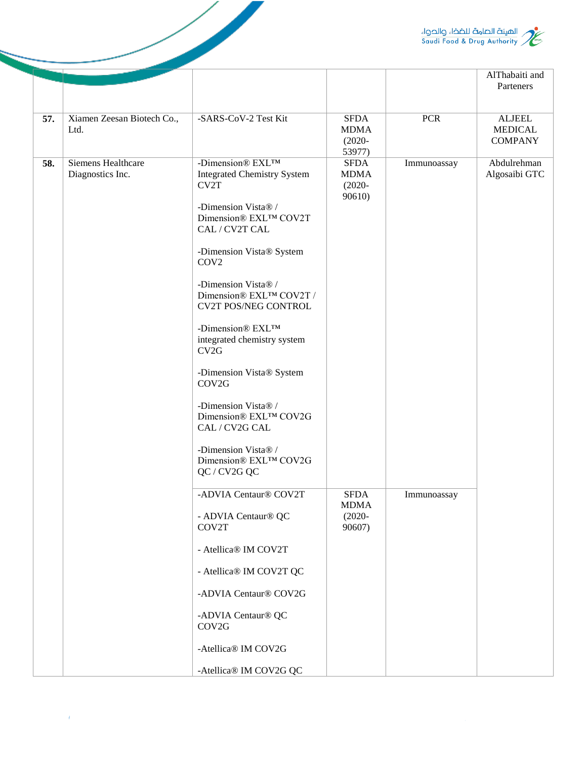

|     |                                        |                                                                                                                                                                                                                                                                                                                                                                                                                                                                                                     |                                                   |             | AlThabaiti and<br>Parteners                       |
|-----|----------------------------------------|-----------------------------------------------------------------------------------------------------------------------------------------------------------------------------------------------------------------------------------------------------------------------------------------------------------------------------------------------------------------------------------------------------------------------------------------------------------------------------------------------------|---------------------------------------------------|-------------|---------------------------------------------------|
| 57. | Xiamen Zeesan Biotech Co.,<br>Ltd.     | -SARS-CoV-2 Test Kit                                                                                                                                                                                                                                                                                                                                                                                                                                                                                | <b>SFDA</b><br><b>MDMA</b><br>$(2020 -$<br>53977) | <b>PCR</b>  | <b>ALJEEL</b><br><b>MEDICAL</b><br><b>COMPANY</b> |
| 58. | Siemens Healthcare<br>Diagnostics Inc. | -Dimension® EXL™<br><b>Integrated Chemistry System</b><br>CV2T<br>-Dimension Vista® /<br>Dimension® EXL™ COV2T<br>CAL / CV2T CAL<br>-Dimension Vista® System<br>COV <sub>2</sub><br>-Dimension Vista® /<br>Dimension® EXL™ COV2T /<br><b>CV2T POS/NEG CONTROL</b><br>-Dimension® EXL™<br>integrated chemistry system<br>CV2G<br>-Dimension Vista® System<br>COV2G<br>-Dimension Vista® /<br>Dimension® EXL™ COV2G<br>CAL / CV2G CAL<br>-Dimension Vista® /<br>Dimension® EXL™ COV2G<br>QC / CV2G QC | <b>SFDA</b><br><b>MDMA</b><br>$(2020 -$<br>90610) | Immunoassay | Abdulrehman<br>Algosaibi GTC                      |
|     |                                        | -ADVIA Centaur® COV2T<br>- ADVIA Centaur® QC<br>COV2T<br>- Atellica® IM COV2T<br>- Atellica® IM COV2T QC<br>-ADVIA Centaur® COV2G<br>-ADVIA Centaur® QC<br>COV2G<br>-Atellica® IM COV2G<br>-Atellica® IM COV2G QC                                                                                                                                                                                                                                                                                   | <b>SFDA</b><br><b>MDMA</b><br>$(2020 -$<br>90607) | Immunoassay |                                                   |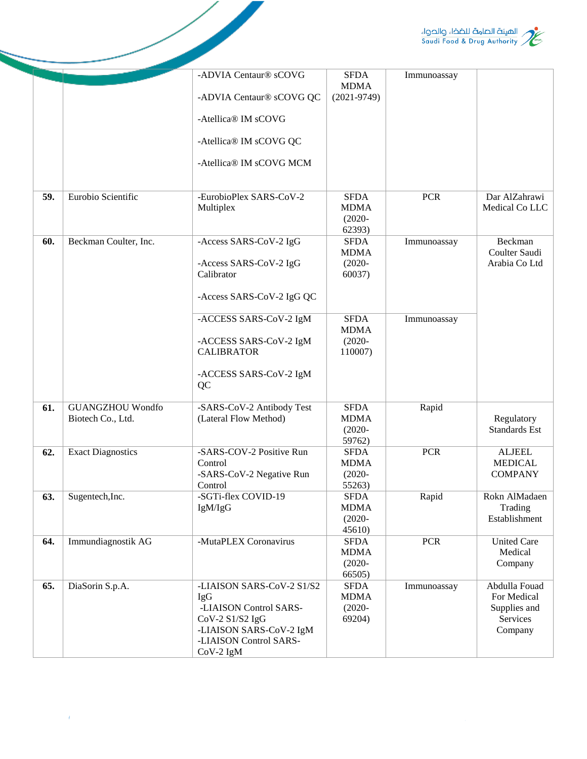

|     |                                              |                                                                                                                                                          |                                                   |             | / الهيئة الصامة للضخاء والحواء<br>// Saudi Food & Drug Authority    |
|-----|----------------------------------------------|----------------------------------------------------------------------------------------------------------------------------------------------------------|---------------------------------------------------|-------------|---------------------------------------------------------------------|
|     |                                              | -ADVIA Centaur® sCOVG                                                                                                                                    | <b>SFDA</b><br><b>MDMA</b>                        | Immunoassay |                                                                     |
|     |                                              | -ADVIA Centaur® sCOVG QC                                                                                                                                 | $(2021 - 9749)$                                   |             |                                                                     |
|     |                                              | -Atellica® IM sCOVG                                                                                                                                      |                                                   |             |                                                                     |
|     |                                              | -Atellica® IM sCOVG QC                                                                                                                                   |                                                   |             |                                                                     |
|     |                                              | -Atellica® IM sCOVG MCM                                                                                                                                  |                                                   |             |                                                                     |
| 59. | Eurobio Scientific                           | -EurobioPlex SARS-CoV-2<br>Multiplex                                                                                                                     | <b>SFDA</b><br><b>MDMA</b><br>$(2020 -$<br>62393) | <b>PCR</b>  | Dar AlZahrawi<br>Medical Co LLC                                     |
| 60. | Beckman Coulter, Inc.                        | -Access SARS-CoV-2 IgG                                                                                                                                   | <b>SFDA</b><br><b>MDMA</b>                        | Immunoassay | Beckman<br>Coulter Saudi                                            |
|     |                                              | -Access SARS-CoV-2 IgG<br>Calibrator                                                                                                                     | $(2020 -$<br>60037)                               |             | Arabia Co Ltd                                                       |
|     |                                              | -Access SARS-CoV-2 IgG QC                                                                                                                                |                                                   |             |                                                                     |
|     |                                              | -ACCESS SARS-CoV-2 IgM                                                                                                                                   | <b>SFDA</b><br><b>MDMA</b>                        | Immunoassay |                                                                     |
|     |                                              | -ACCESS SARS-CoV-2 IgM<br><b>CALIBRATOR</b>                                                                                                              | $(2020 -$<br>110007)                              |             |                                                                     |
|     |                                              | -ACCESS SARS-CoV-2 IgM<br>QC                                                                                                                             |                                                   |             |                                                                     |
| 61. | <b>GUANGZHOU Wondfo</b><br>Biotech Co., Ltd. | -SARS-CoV-2 Antibody Test<br>(Lateral Flow Method)                                                                                                       | <b>SFDA</b><br><b>MDMA</b>                        | Rapid       | Regulatory                                                          |
|     |                                              |                                                                                                                                                          | $(2020 -$<br>59762)                               |             | <b>Standards Est</b>                                                |
| 62. | <b>Exact Diagnostics</b>                     | -SARS-COV-2 Positive Run<br>Control                                                                                                                      | <b>SFDA</b><br><b>MDMA</b>                        | <b>PCR</b>  | <b>ALJEEL</b><br><b>MEDICAL</b>                                     |
|     |                                              | -SARS-CoV-2 Negative Run<br>Control                                                                                                                      | $(2020 -$<br>55263)                               |             | <b>COMPANY</b>                                                      |
| 63. | Sugentech, Inc.                              | -SGTi-flex COVID-19                                                                                                                                      | <b>SFDA</b><br><b>MDMA</b>                        | Rapid       | Rokn AlMadaen<br>Trading                                            |
|     |                                              | IgM/IgG                                                                                                                                                  | $(2020 -$                                         |             | Establishment                                                       |
| 64. | Immundiagnostik AG                           | -MutaPLEX Coronavirus                                                                                                                                    | 45610)<br><b>SFDA</b>                             | <b>PCR</b>  | <b>United Care</b>                                                  |
|     |                                              |                                                                                                                                                          | <b>MDMA</b><br>$(2020 -$<br>66505)                |             | Medical<br>Company                                                  |
| 65. | DiaSorin S.p.A.                              | -LIAISON SARS-CoV-2 S1/S2<br><b>IgG</b><br>-LIAISON Control SARS-<br>CoV-2 S1/S2 IgG<br>-LIAISON SARS-CoV-2 IgM<br>-LIAISON Control SARS-<br>$CoV-2$ IgM | <b>SFDA</b><br><b>MDMA</b><br>$(2020 -$<br>69204) | Immunoassay | Abdulla Fouad<br>For Medical<br>Supplies and<br>Services<br>Company |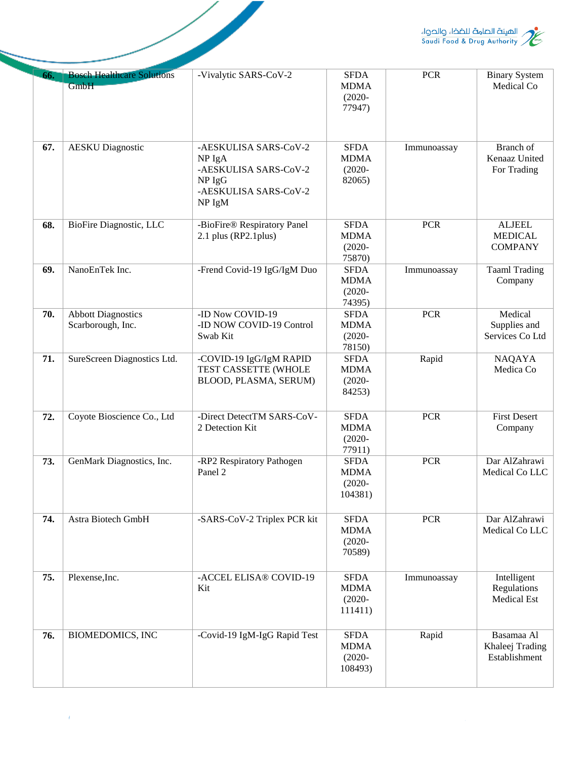

|     |                                                |                                                                                                         |                                                    |             | الهيئة الصامة للضخا، والحواء<br>Saudi Food & Drug Authority |
|-----|------------------------------------------------|---------------------------------------------------------------------------------------------------------|----------------------------------------------------|-------------|-------------------------------------------------------------|
| 66. | <b>Bosch Healthcare Solutions</b><br>GmbH      | -Vivalytic SARS-CoV-2                                                                                   | SFDA<br><b>MDMA</b><br>$(2020 -$<br>77947)         | <b>PCR</b>  | <b>Binary System</b><br>Medical Co                          |
| 67. | <b>AESKU</b> Diagnostic                        | -AESKULISA SARS-CoV-2<br>NP IgA<br>-AESKULISA SARS-CoV-2<br>$NP$ IgG<br>-AESKULISA SARS-CoV-2<br>NP IgM | <b>SFDA</b><br><b>MDMA</b><br>$(2020 -$<br>82065)  | Immunoassay | Branch of<br>Kenaaz United<br>For Trading                   |
| 68. | BioFire Diagnostic, LLC                        | -BioFire® Respiratory Panel<br>2.1 plus (RP2.1 plus)                                                    | <b>SFDA</b><br><b>MDMA</b><br>$(2020 -$<br>75870)  | <b>PCR</b>  | <b>ALJEEL</b><br><b>MEDICAL</b><br><b>COMPANY</b>           |
| 69. | NanoEnTek Inc.                                 | -Frend Covid-19 IgG/IgM Duo                                                                             | <b>SFDA</b><br><b>MDMA</b><br>$(2020 -$<br>74395)  | Immunoassay | <b>Taaml Trading</b><br>Company                             |
| 70. | <b>Abbott Diagnostics</b><br>Scarborough, Inc. | -ID Now COVID-19<br>-ID NOW COVID-19 Control<br>Swab Kit                                                | <b>SFDA</b><br><b>MDMA</b><br>$(2020 -$<br>78150)  | <b>PCR</b>  | Medical<br>Supplies and<br>Services Co Ltd                  |
| 71. | SureScreen Diagnostics Ltd.                    | -COVID-19 IgG/IgM RAPID<br>TEST CASSETTE (WHOLE<br>BLOOD, PLASMA, SERUM)                                | <b>SFDA</b><br><b>MDMA</b><br>$(2020 -$<br>84253)  | Rapid       | <b>NAQAYA</b><br>Medica Co                                  |
| 72. | Coyote Bioscience Co., Ltd                     | -Direct DetectTM SARS-CoV-<br>2 Detection Kit                                                           | <b>SFDA</b><br><b>MDMA</b><br>$(2020 -$<br>77911)  | <b>PCR</b>  | <b>First Desert</b><br>Company                              |
| 73. | GenMark Diagnostics, Inc.                      | -RP2 Respiratory Pathogen<br>Panel 2                                                                    | <b>SFDA</b><br><b>MDMA</b><br>$(2020 -$<br>104381) | <b>PCR</b>  | Dar AlZahrawi<br>Medical Co LLC                             |
| 74. | Astra Biotech GmbH                             | -SARS-CoV-2 Triplex PCR kit                                                                             | <b>SFDA</b><br><b>MDMA</b><br>$(2020 -$<br>70589)  | <b>PCR</b>  | Dar AlZahrawi<br>Medical Co LLC                             |
| 75. | Plexense, Inc.                                 | -ACCEL ELISA® COVID-19<br>Kit                                                                           | <b>SFDA</b><br><b>MDMA</b><br>$(2020 -$<br>111411) | Immunoassay | Intelligent<br>Regulations<br>Medical Est                   |
| 76. | <b>BIOMEDOMICS, INC</b>                        | -Covid-19 IgM-IgG Rapid Test                                                                            | <b>SFDA</b><br><b>MDMA</b><br>$(2020 -$<br>108493) | Rapid       | Basamaa Al<br>Khaleej Trading<br>Establishment              |